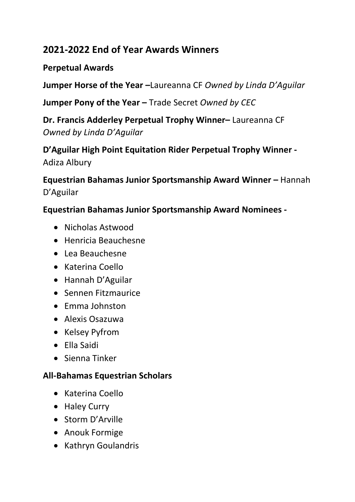# **2021-2022 End of Year Awards Winners**

## **Perpetual Awards**

**Jumper Horse of the Year –**Laureanna CF *Owned by Linda D'Aguilar*

**Jumper Pony of the Year –** Trade Secret *Owned by CEC*

**Dr. Francis Adderley Perpetual Trophy Winner–** Laureanna CF *Owned by Linda D'Aguilar*

**D'Aguilar High Point Equitation Rider Perpetual Trophy Winner -** Adiza Albury

**Equestrian Bahamas Junior Sportsmanship Award Winner –** Hannah D'Aguilar

#### **Equestrian Bahamas Junior Sportsmanship Award Nominees -**

- Nicholas Astwood
- Henricia Beauchesne
- Lea Beauchesne
- Katerina Coello
- Hannah D'Aguilar
- Sennen Fitzmaurice
- Emma Johnston
- Alexis Osazuwa
- Kelsey Pyfrom
- Ella Saidi
- Sienna Tinker

#### **All-Bahamas Equestrian Scholars**

- Katerina Coello
- Haley Curry
- Storm D'Arville
- Anouk Formige
- Kathryn Goulandris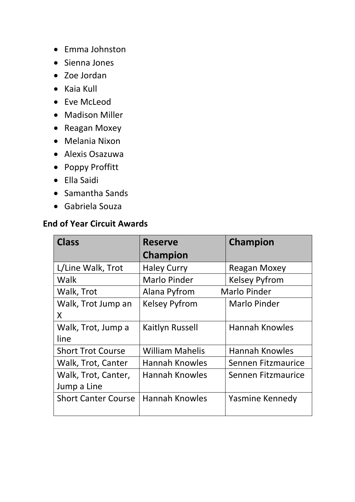- Emma Johnston
- Sienna Jones
- Zoe Jordan
- Kaia Kull
- Eve McLeod
- Madison Miller
- Reagan Moxey
- Melania Nixon
- Alexis Osazuwa
- Poppy Proffitt
- Ella Saidi
- Samantha Sands
- Gabriela Souza

#### **End of Year Circuit Awards**

| <b>Class</b>               | <b>Reserve</b>         | Champion              |
|----------------------------|------------------------|-----------------------|
|                            | Champion               |                       |
| L/Line Walk, Trot          | <b>Haley Curry</b>     | <b>Reagan Moxey</b>   |
| Walk                       | <b>Marlo Pinder</b>    | <b>Kelsey Pyfrom</b>  |
| Walk, Trot                 | Alana Pyfrom           | <b>Marlo Pinder</b>   |
| Walk, Trot Jump an         | <b>Kelsey Pyfrom</b>   | Marlo Pinder          |
| X                          |                        |                       |
| Walk, Trot, Jump a         | <b>Kaitlyn Russell</b> | <b>Hannah Knowles</b> |
| line                       |                        |                       |
| <b>Short Trot Course</b>   | <b>William Mahelis</b> | <b>Hannah Knowles</b> |
| Walk, Trot, Canter         | <b>Hannah Knowles</b>  | Sennen Fitzmaurice    |
| Walk, Trot, Canter,        | <b>Hannah Knowles</b>  | Sennen Fitzmaurice    |
| Jump a Line                |                        |                       |
| <b>Short Canter Course</b> | <b>Hannah Knowles</b>  | Yasmine Kennedy       |
|                            |                        |                       |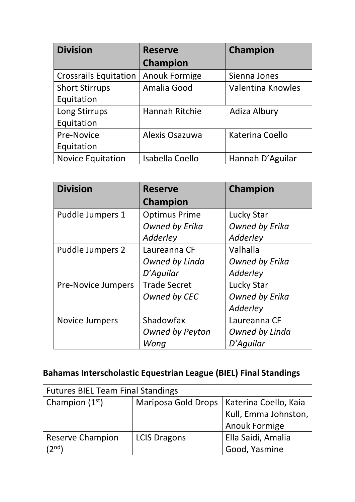| <b>Division</b>              | <b>Reserve</b>         | Champion          |
|------------------------------|------------------------|-------------------|
|                              | <b>Champion</b>        |                   |
| <b>Crossrails Equitation</b> | <b>Anouk Formige</b>   | Sienna Jones      |
| <b>Short Stirrups</b>        | Amalia Good            | Valentina Knowles |
| Equitation                   |                        |                   |
| Long Stirrups                | <b>Hannah Ritchie</b>  | Adiza Albury      |
| Equitation                   |                        |                   |
| <b>Pre-Novice</b>            | Alexis Osazuwa         | Katerina Coello   |
| Equitation                   |                        |                   |
| <b>Novice Equitation</b>     | <b>Isabella Coello</b> | Hannah D'Aguilar  |

| <b>Division</b>           | <b>Reserve</b>       | <b>Champion</b>       |
|---------------------------|----------------------|-----------------------|
|                           | Champion             |                       |
| Puddle Jumpers 1          | <b>Optimus Prime</b> | <b>Lucky Star</b>     |
|                           | Owned by Erika       | <b>Owned by Erika</b> |
|                           | Adderley             | Adderley              |
| Puddle Jumpers 2          | Laureanna CF         | Valhalla              |
|                           | Owned by Linda       | <b>Owned by Erika</b> |
|                           | D'Aguilar            | Adderley              |
| <b>Pre-Novice Jumpers</b> | <b>Trade Secret</b>  | Lucky Star            |
|                           | Owned by CEC         | <b>Owned by Erika</b> |
|                           |                      | Adderley              |
| <b>Novice Jumpers</b>     | Shadowfax            | Laureanna CF          |
|                           | Owned by Peyton      | Owned by Linda        |
|                           | Wong                 | D'Aguilar             |

# **Bahamas Interscholastic Equestrian League (BIEL) Final Standings**

| <b>Futures BIEL Team Final Standings</b> |                            |                       |
|------------------------------------------|----------------------------|-----------------------|
| Champion $(1st)$                         | <b>Mariposa Gold Drops</b> | Katerina Coello, Kaia |
|                                          |                            | Kull, Emma Johnston,  |
|                                          |                            | <b>Anouk Formige</b>  |
| <b>Reserve Champion</b>                  | <b>LCIS Dragons</b>        | Ella Saidi, Amalia    |
| (2 <sup>nd</sup> )                       |                            | Good, Yasmine         |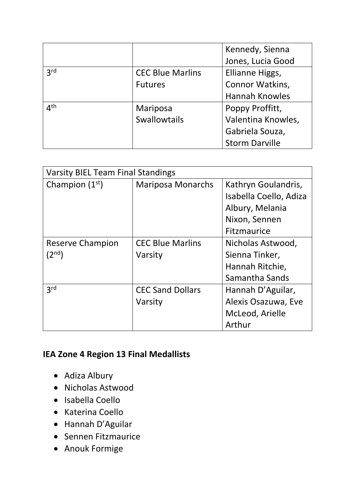|                         |                         | Kennedy, Sienna       |
|-------------------------|-------------------------|-----------------------|
|                         |                         | Jones, Lucia Good     |
| 2rd                     | <b>CEC Blue Marlins</b> | Ellianne Higgs,       |
|                         | <b>Futures</b>          | Connor Watkins,       |
|                         |                         | <b>Hannah Knowles</b> |
| $\Lambda$ <sup>th</sup> | Mariposa                | Poppy Proffitt,       |
|                         | Swallowtails            | Valentina Knowles,    |
|                         |                         | Gabriela Souza,       |
|                         |                         | <b>Storm Darville</b> |

| <b>Varsity BIEL Team Final Standings</b> |                          |                        |
|------------------------------------------|--------------------------|------------------------|
| Champion $(1st)$                         | <b>Mariposa Monarchs</b> | Kathryn Goulandris,    |
|                                          |                          | Isabella Coello, Adiza |
|                                          |                          | Albury, Melania        |
|                                          |                          | Nixon, Sennen          |
|                                          |                          | Fitzmaurice            |
| Reserve Champion                         | <b>CEC Blue Marlins</b>  | Nicholas Astwood,      |
| $(2^{nd})$                               | Varsity                  | Sienna Tinker,         |
|                                          |                          | Hannah Ritchie,        |
|                                          |                          | Samantha Sands         |
| 3 <sup>rd</sup>                          | <b>CEC Sand Dollars</b>  | Hannah D'Aguilar,      |
|                                          | Varsity                  | Alexis Osazuwa, Eve    |
|                                          |                          | McLeod, Arielle        |
|                                          |                          | Arthur                 |

## **IEA Zone 4 Region 13 Final Medallists**

- Adiza Albury
- Nicholas Astwood
- Isabella Coello
- Katerina Coello
- Hannah D'Aguilar
- Sennen Fitzmaurice
- Anouk Formige